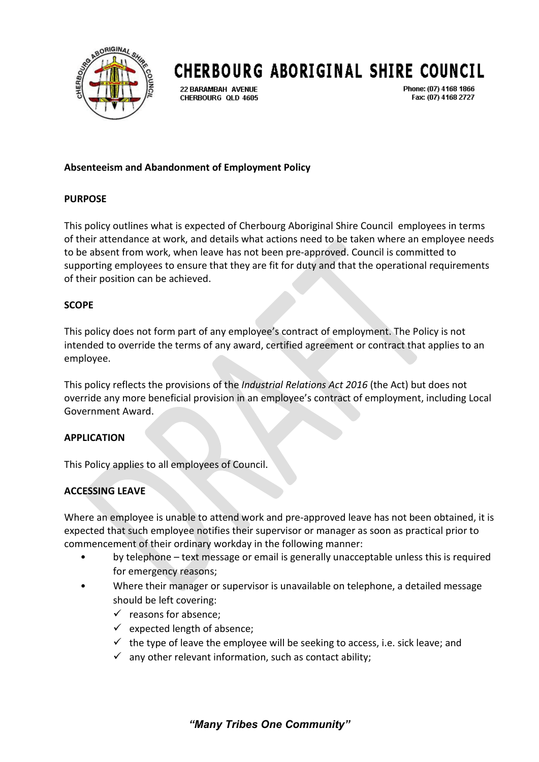

# **CHERBOURG ABORIGINAL SHIRE COUNCIL**

22 BARAMBAH AVENUE CHERBOURG OLD 4605 Phone: (07) 4168 1866 Fax: (07) 4168 2727

## **Absenteeism and Abandonment of Employment Policy**

### **PURPOSE**

This policy outlines what is expected of Cherbourg Aboriginal Shire Council employees in terms of their attendance at work, and details what actions need to be taken where an employee needs to be absent from work, when leave has not been pre-approved. Council is committed to supporting employees to ensure that they are fit for duty and that the operational requirements of their position can be achieved.

### **SCOPE**

This policy does not form part of any employee's contract of employment. The Policy is not intended to override the terms of any award, certified agreement or contract that applies to an employee.

This policy reflects the provisions of the *Industrial Relations Act 2016* (the Act) but does not override any more beneficial provision in an employee's contract of employment, including Local Government Award.

## **APPLICATION**

This Policy applies to all employees of Council.

## **ACCESSING LEAVE**

Where an employee is unable to attend work and pre-approved leave has not been obtained, it is expected that such employee notifies their supervisor or manager as soon as practical prior to commencement of their ordinary workday in the following manner:

- by telephone text message or email is generally unacceptable unless this is required for emergency reasons;
- Where their manager or supervisor is unavailable on telephone, a detailed message should be left covering:
	- $\checkmark$  reasons for absence:
	- $\checkmark$  expected length of absence;
	- $\checkmark$  the type of leave the employee will be seeking to access, i.e. sick leave; and
	- $\checkmark$  any other relevant information, such as contact ability;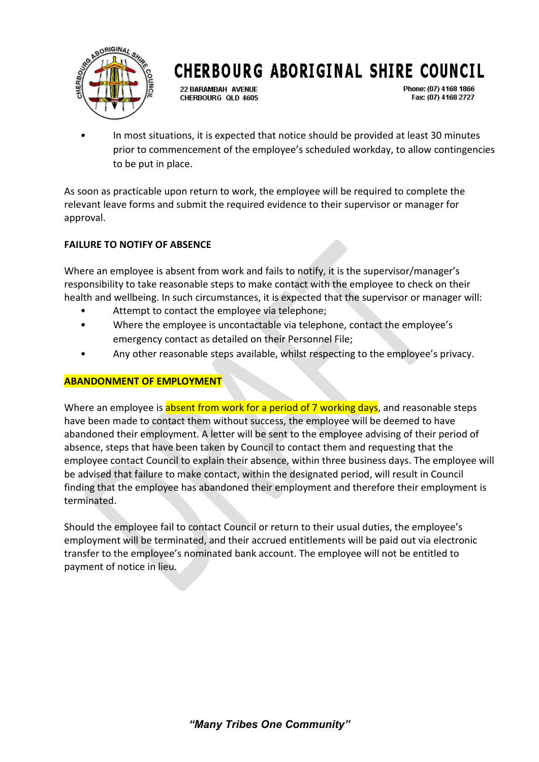

# **CHERBOURG ABORIGINAL SHIRE COUNCIL**

22 BARAMBAH AVENUE CHERBOURG OLD 4605 Phone: (07) 4168 1866 Fax: (07) 4168 2727

• In most situations, it is expected that notice should be provided at least 30 minutes prior to commencement of the employee's scheduled workday, to allow contingencies to be put in place.

As soon as practicable upon return to work, the employee will be required to complete the relevant leave forms and submit the required evidence to their supervisor or manager for approval.

# **FAILURE TO NOTIFY OF ABSENCE**

Where an employee is absent from work and fails to notify, it is the supervisor/manager's responsibility to take reasonable steps to make contact with the employee to check on their health and wellbeing. In such circumstances, it is expected that the supervisor or manager will:

- Attempt to contact the employee via telephone;
- Where the employee is uncontactable via telephone, contact the employee's emergency contact as detailed on their Personnel File;
- Any other reasonable steps available, whilst respecting to the employee's privacy.

## **ABANDONMENT OF EMPLOYMENT**

Where an employee is absent from work for a period of 7 working days, and reasonable steps have been made to contact them without success, the employee will be deemed to have abandoned their employment. A letter will be sent to the employee advising of their period of absence, steps that have been taken by Council to contact them and requesting that the employee contact Council to explain their absence, within three business days. The employee will be advised that failure to make contact, within the designated period, will result in Council finding that the employee has abandoned their employment and therefore their employment is terminated.

Should the employee fail to contact Council or return to their usual duties, the employee's employment will be terminated, and their accrued entitlements will be paid out via electronic transfer to the employee's nominated bank account. The employee will not be entitled to payment of notice in lieu.